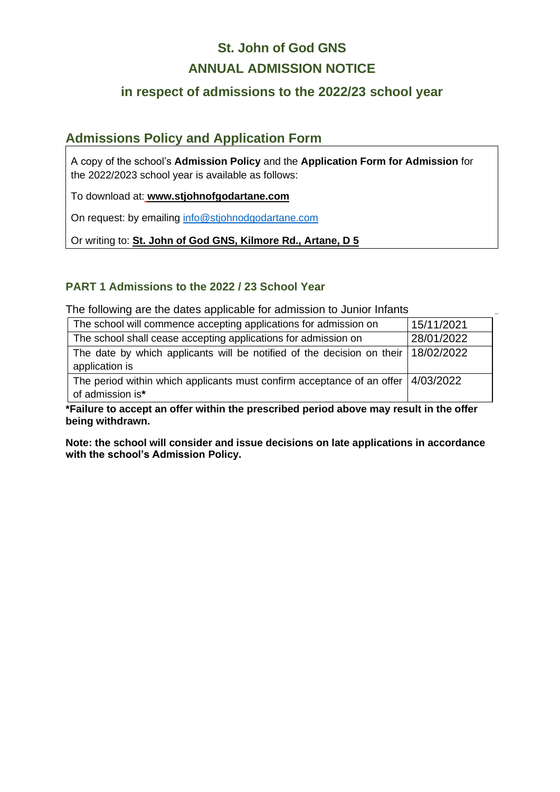# **St. John of God GNS ANNUAL ADMISSION NOTICE**

## **in respect of admissions to the 2022/23 school year**

## **Admissions Policy and Application Form**

A copy of the school's **Admission Policy** and the **Application Form for Admission** for the 2022/2023 school year is available as follows:

To download at: **www.stjohnofgodartane.com**

On request: by emailing [info@stjohnodgodartane.com](mailto:info@stjohnodgodartane.com)

Or writing to: **St. John of God GNS, Kilmore Rd., Artane, D 5**

### **PART 1 Admissions to the 2022 / 23 School Year**

The following are the dates applicable for admission to Junior Infants

| The school will commence accepting applications for admission on                                        | 15/11/2021 |
|---------------------------------------------------------------------------------------------------------|------------|
| The school shall cease accepting applications for admission on                                          | 28/01/2022 |
| The date by which applicants will be notified of the decision on their 18/02/2022<br>application is     |            |
| The period within which applicants must confirm acceptance of an offer $ 4/03/2022$<br>of admission is* |            |

**\_**

**\*Failure to accept an offer within the prescribed period above may result in the offer being withdrawn.**

**Note: the school will consider and issue decisions on late applications in accordance with the school's Admission Policy.**